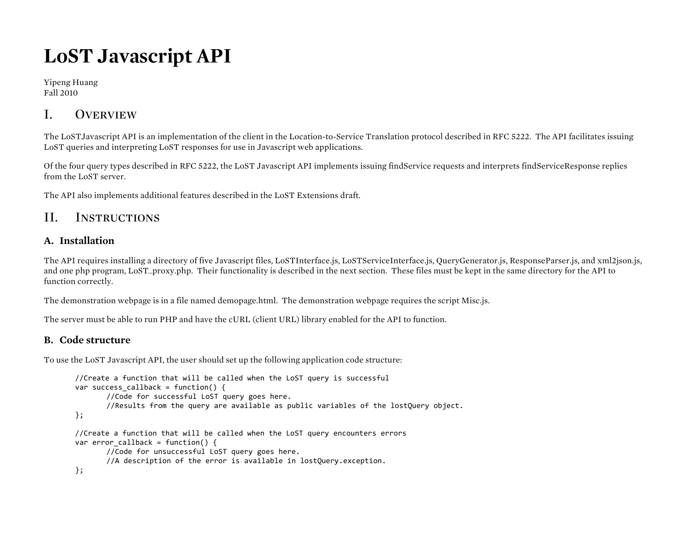# **LoST Javascript API**

Yipeng Huang Fall 2010

## I. Overview

The LoSTJavascript API is an implementation of the client in the Location-to-Service Translation protocol described in RFC 5222. The API facilitates issuing LoST queries and interpreting LoST responses for use in Javascript web applications.

Of the four query types described in RFC 5222, the LoST Javascript API implements issuing findService requests and interprets findServiceResponse replies from the LoST server.

The API also implements additional features described in the LoST Extensions draft.

### II. Instructions

### **A. Installation**

The API requires installing a directory of five Javascript files, LoSTInterface.js, LoSTServiceInterface.js, QueryGenerator.js, ResponseParser.js, and xml2json.js, and one php program, LoST\_proxy.php. Their functionality is described in the next section. These files must be kept in the same directory for the API to function correctly.

The demonstration webpage is in a file named demopage.html. The demonstration webpage requires the script Misc.js.

The server must be able to run PHP and have the cURL (client URL) library enabled for the API to function.

### **B. Code structure**

To use the LoST Javascript API, the user should set up the following application code structure:

```
//Create a function that will be called when the LoST query is successful
var success callback = function() {
       //Code for successful LoST query goes here.
       //Results'from'the'query'are'available'as'public'variables'of'the'lostQuery'object.
};
//Create a function that will be called when the LoST query encounters errors
var error callback = function() \{//Code for unsuccessful LoST query goes here.
       //A description of the error is available in lostQuery.exception.
```

```
};
```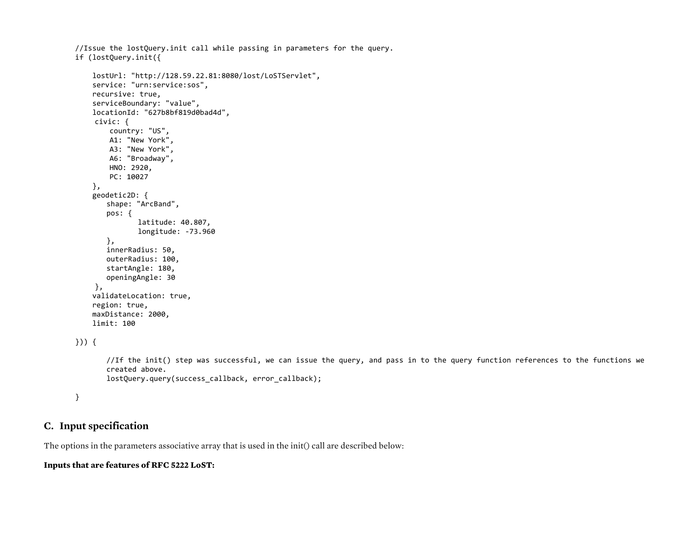```
//Issue the lostQuery.init call while passing in parameters for the query.
if'(lostQuery.init({
    ''''lostUrl:'"http://128.59.22.81:8080/lost/LoSTServlet",
    service: "urn:service:sos",
    recursive: true,
    serviceBoundary: "value",
    locationId: "627b8bf819d0bad4d",
    civic: {
        country: "US",
        A1: "New York",
        A3: "New York",
        A6: "Broadway",
        HNO: 2920,
        PC: 10027
    ''''},
    geodetic2D: {
       shape: "ArcBand",
       pos: {
               latitude: 40.807,
               longitude: -73.960
       },
       innerRadius: 50,
       outerRadius: 100.
       startAngle: 180,
       openingAngle: 30
    },
    validateLocation: true,
    region: true,
    maxDistance: 2000,
    limit: 100
}))'{
       //If the init() step was successful, we can issue the query, and pass in to the query function references to the functions we
       created'above.
       lostQuery.query(success_callback, error_callback);
```
}

#### **C. Input specification**

The options in the parameters associative array that is used in the init() call are described below:

#### **Inputs that are features of RFC 5222 LoST:**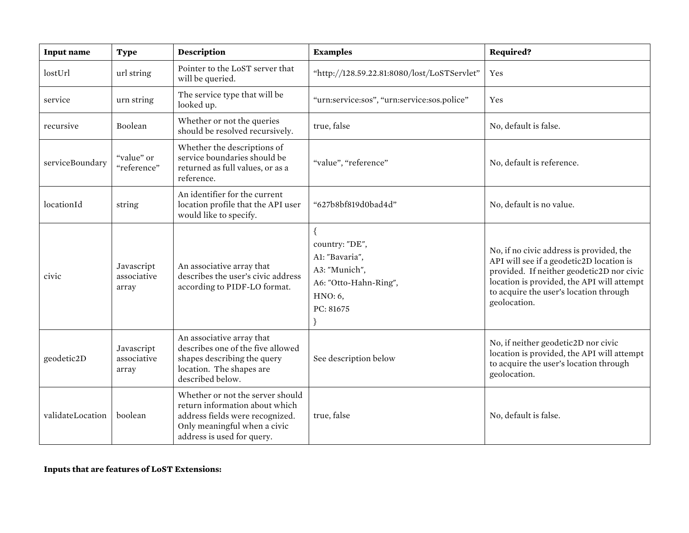| <b>Input name</b> | <b>Type</b>                        | <b>Description</b>                                                                                                                                                  | <b>Examples</b>                                                                                            | <b>Required?</b>                                                                                                                                                                                                                          |
|-------------------|------------------------------------|---------------------------------------------------------------------------------------------------------------------------------------------------------------------|------------------------------------------------------------------------------------------------------------|-------------------------------------------------------------------------------------------------------------------------------------------------------------------------------------------------------------------------------------------|
| lostUrl           | url string                         | Pointer to the LoST server that<br>will be queried.                                                                                                                 | "http://128.59.22.81:8080/lost/LoSTServlet"                                                                | Yes                                                                                                                                                                                                                                       |
| service           | urn string                         | The service type that will be<br>looked up.                                                                                                                         | "urn:service:sos", "urn:service:sos.police"                                                                | Yes                                                                                                                                                                                                                                       |
| recursive         | Boolean                            | Whether or not the queries<br>should be resolved recursively.                                                                                                       | true, false                                                                                                | No, default is false.                                                                                                                                                                                                                     |
| serviceBoundary   | "value" or<br>"reference"          | Whether the descriptions of<br>service boundaries should be<br>returned as full values, or as a<br>reference.                                                       | "value", "reference"                                                                                       | No, default is reference.                                                                                                                                                                                                                 |
| locationId        | string                             | An identifier for the current<br>location profile that the API user<br>would like to specify.                                                                       | "627b8bf819d0bad4d"                                                                                        | No, default is no value.                                                                                                                                                                                                                  |
| civic             | Javascript<br>associative<br>array | An associative array that<br>describes the user's civic address<br>according to PIDF-LO format.                                                                     | country: "DE",<br>Al: "Bavaria",<br>A3: "Munich",<br>A6: "Otto-Hahn-Ring",<br>HNO: 6,<br>PC: 81675<br>$\}$ | No, if no civic address is provided, the<br>API will see if a geodetic2D location is<br>provided. If neither geodetic2D nor civic<br>location is provided, the API will attempt<br>to acquire the user's location through<br>geolocation. |
| geodetic2D        | Javascript<br>associative<br>array | An associative array that<br>describes one of the five allowed<br>shapes describing the query<br>location. The shapes are<br>described below.                       | See description below                                                                                      | No, if neither geodetic2D nor civic<br>location is provided, the API will attempt<br>to acquire the user's location through<br>geolocation.                                                                                               |
| validateLocation  | boolean                            | Whether or not the server should<br>return information about which<br>address fields were recognized.<br>Only meaningful when a civic<br>address is used for query. | true, false                                                                                                | No, default is false.                                                                                                                                                                                                                     |

### **Inputs that are features of LoST Extensions:**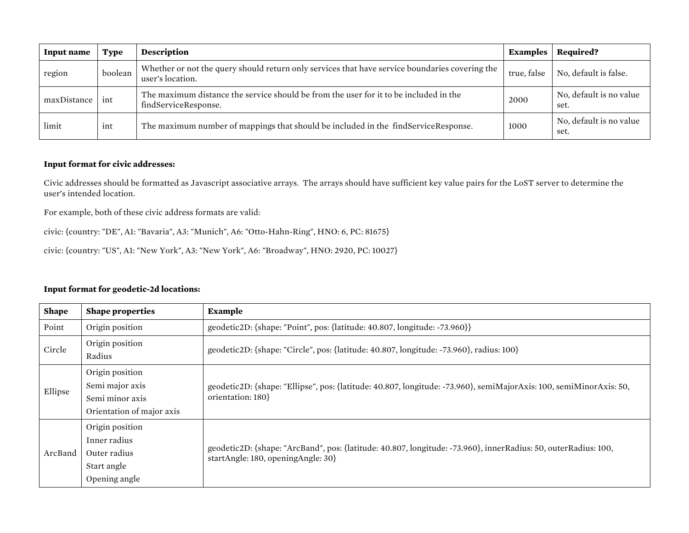| Input name  | <b>Type</b> | <b>Description</b>                                                                                                 | <b>Examples</b> | Required?                       |
|-------------|-------------|--------------------------------------------------------------------------------------------------------------------|-----------------|---------------------------------|
| region      | boolean     | Whether or not the query should return only services that have service boundaries covering the<br>user's location. | true, false     | No, default is false.           |
| maxDistance | int         | The maximum distance the service should be from the user for it to be included in the<br>findServiceResponse.      | 2000            | No, default is no value<br>set. |
| limit       | ınt         | The maximum number of mappings that should be included in the findServiceResponse.                                 | 1000            | No, default is no value<br>set. |

#### **Input format for civic addresses:**

Civic addresses should be formatted as Javascript associative arrays. The arrays should have sufficient key value pairs for the LoST server to determine the user's intended location.

For example, both of these civic address formats are valid:

civic: {country: "DE", A1: "Bavaria", A3: "Munich", A6: "Otto-Hahn-Ring", HNO: 6, PC: 81675}

civic: {country: "US", A1: "New York", A3: "New York", A6: "Broadway", HNO: 2920, PC: 10027}

| <b>Shape</b> | <b>Shape properties</b>                                                            | <b>Example</b>                                                                                                                                       |  |
|--------------|------------------------------------------------------------------------------------|------------------------------------------------------------------------------------------------------------------------------------------------------|--|
| Point        | Origin position                                                                    | geodetic2D: {shape: "Point", pos: {latitude: 40.807, longitude: -73.960}}                                                                            |  |
| Circle       | Origin position<br>Radius                                                          | geodetic2D: {shape: "Circle", pos: {latitude: 40.807, longitude: -73.960}, radius: 100}                                                              |  |
| Ellipse      | Origin position<br>Semi major axis<br>Semi minor axis<br>Orientation of major axis | geodetic2D: {shape: "Ellipse", pos: {latitude: 40.807, longitude: -73.960}, semiMajorAxis: 100, semiMinorAxis: 50,<br>orientation: 180}              |  |
| ArcBand      | Origin position<br>Inner radius<br>Outer radius<br>Start angle<br>Opening angle    | geodetic2D: {shape: "ArcBand", pos: {latitude: 40.807, longitude: -73.960}, innerRadius: 50, outerRadius: 100,<br>startAngle: 180, openingAngle: 30} |  |

#### **Input format for geodetic-2d locations:**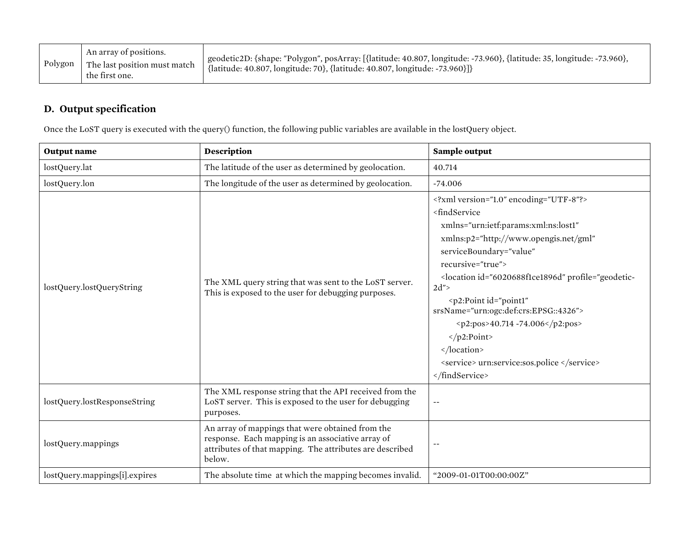| Polygon | An array of positions.<br>The last position must match<br>the first one. | <sup>1</sup> geodetic2D: {shape: "Polygon", posArray: [{latitude: 40.807, longitude: -73.960}, {latitude: 35, longitude: -73.960},<br>  {latitude: 40.807, longitude: 70}, {latitude: 40.807, longitude: -73.960}]} |
|---------|--------------------------------------------------------------------------|---------------------------------------------------------------------------------------------------------------------------------------------------------------------------------------------------------------------|
|---------|--------------------------------------------------------------------------|---------------------------------------------------------------------------------------------------------------------------------------------------------------------------------------------------------------------|

### **D. Output specification**

Once the LoST query is executed with the query() function, the following public variables are available in the lostQuery object.

| <b>Output</b> name            | Description                                                                                                                                                                 | Sample output                                                                                                                                                                                                                                                                                                                                                                                                                                                                                                                              |
|-------------------------------|-----------------------------------------------------------------------------------------------------------------------------------------------------------------------------|--------------------------------------------------------------------------------------------------------------------------------------------------------------------------------------------------------------------------------------------------------------------------------------------------------------------------------------------------------------------------------------------------------------------------------------------------------------------------------------------------------------------------------------------|
| lostQuery.lat                 | The latitude of the user as determined by geolocation.                                                                                                                      | 40.714                                                                                                                                                                                                                                                                                                                                                                                                                                                                                                                                     |
| lostQuery.lon                 | The longitude of the user as determined by geolocation.                                                                                                                     | $-74.006$                                                                                                                                                                                                                                                                                                                                                                                                                                                                                                                                  |
| lostQuery.lostQueryString     | The XML query string that was sent to the LoST server.<br>This is exposed to the user for debugging purposes.                                                               | xml version="1.0" encoding="UTF-8"?<br><findservice<br>xmlns="urn:ietf:params:xml:ns:lost1"<br/>xmlns:p2="http://www.opengis.net/gml"<br/>serviceBoundary="value"<br/>recursive="true"&gt;<br/><location id="6020688f1ce1896d" profile="geodetic-&lt;br&gt;&lt;math&gt;2d&lt;/math&gt;"><br/><p2:point <br="" id="point1">srsName="urn:ogc:def:crs:EPSG::4326"&gt;<br/><p2:pos>40.714 -74.006</p2:pos><br/><math>&lt;</math>/p2:Point&gt;<br/></p2:point></location><br/><service> urn:service:sos.police </service><br/></findservice<br> |
| lostQuery.lostResponseString  | The XML response string that the API received from the<br>LoST server. This is exposed to the user for debugging<br>purposes.                                               |                                                                                                                                                                                                                                                                                                                                                                                                                                                                                                                                            |
| lostQuery.mappings            | An array of mappings that were obtained from the<br>response. Each mapping is an associative array of<br>attributes of that mapping. The attributes are described<br>below. | $\sim$ $\sim$                                                                                                                                                                                                                                                                                                                                                                                                                                                                                                                              |
| lostQuery.mappings[i].expires | The absolute time at which the mapping becomes invalid.                                                                                                                     | "2009-01-01T00:00:00Z"                                                                                                                                                                                                                                                                                                                                                                                                                                                                                                                     |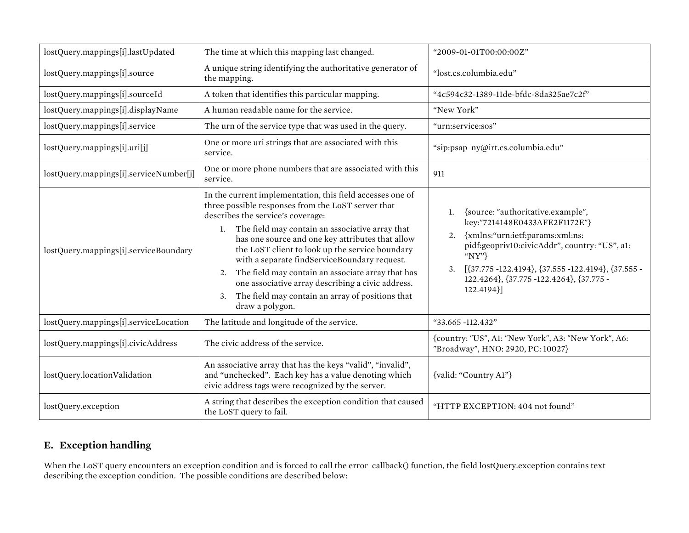| lostQuery.mappings[i].lastUpdated      | The time at which this mapping last changed.                                                                                                                                                                                                                                                                                                                                                                                                                                                                                                                   | "2009-01-01T00:00:00Z"                                                                                                                                                                                                                                                                               |  |
|----------------------------------------|----------------------------------------------------------------------------------------------------------------------------------------------------------------------------------------------------------------------------------------------------------------------------------------------------------------------------------------------------------------------------------------------------------------------------------------------------------------------------------------------------------------------------------------------------------------|------------------------------------------------------------------------------------------------------------------------------------------------------------------------------------------------------------------------------------------------------------------------------------------------------|--|
| lostQuery.mappings[i].source           | A unique string identifying the authoritative generator of<br>the mapping.                                                                                                                                                                                                                                                                                                                                                                                                                                                                                     | "lost.cs.columbia.edu"                                                                                                                                                                                                                                                                               |  |
| lostQuery.mappings[i].sourceId         | A token that identifies this particular mapping.                                                                                                                                                                                                                                                                                                                                                                                                                                                                                                               | "4c594c32-1389-11de-bfdc-8da325ae7c2f"                                                                                                                                                                                                                                                               |  |
| lostQuery.mappings[i].displayName      | A human readable name for the service.                                                                                                                                                                                                                                                                                                                                                                                                                                                                                                                         | "New York"                                                                                                                                                                                                                                                                                           |  |
| lostQuery.mappings[i].service          | The urn of the service type that was used in the query.                                                                                                                                                                                                                                                                                                                                                                                                                                                                                                        | "urn:service:sos"                                                                                                                                                                                                                                                                                    |  |
| lostQuery.mappings[i].uri[j]           | One or more uri strings that are associated with this<br>service.                                                                                                                                                                                                                                                                                                                                                                                                                                                                                              | "sip:psap_ny@irt.cs.columbia.edu"                                                                                                                                                                                                                                                                    |  |
| lostQuery.mappings[i].serviceNumber[j] | One or more phone numbers that are associated with this<br>service.                                                                                                                                                                                                                                                                                                                                                                                                                                                                                            | 911                                                                                                                                                                                                                                                                                                  |  |
| lostQuery.mappings[i].serviceBoundary  | In the current implementation, this field accesses one of<br>three possible responses from the LoST server that<br>describes the service's coverage:<br>1. The field may contain an associative array that<br>has one source and one key attributes that allow<br>the LoST client to look up the service boundary<br>with a separate findServiceBoundary request.<br>The field may contain an associate array that has<br>2.<br>one associative array describing a civic address.<br>The field may contain an array of positions that<br>3.<br>draw a polygon. | {source: "authoritative.example",<br>1.<br>key:"7214148E0433AFE2F1172E"}<br>{xmlns:"urn:ietf:params:xml:ns:<br>2.<br>pidf:geopriv10:civicAddr", country: "US", a1:<br>" $NY"$<br>$[37.775 -122.4194], [37.555 -122.4194], [37.555 -$<br>3.<br>122.4264}, {37.775 -122.4264}, {37.775 -<br>122.4194}] |  |
| lostQuery.mappings[i].serviceLocation  | The latitude and longitude of the service.                                                                                                                                                                                                                                                                                                                                                                                                                                                                                                                     | "33.665 -112.432"                                                                                                                                                                                                                                                                                    |  |
| lostQuery.mappings[i].civicAddress     | The civic address of the service.                                                                                                                                                                                                                                                                                                                                                                                                                                                                                                                              | {country: "US", A1: "New York", A3: "New York", A6:<br>"Broadway", HNO: 2920, PC: 10027}                                                                                                                                                                                                             |  |
| lostQuery.locationValidation           | An associative array that has the keys "valid", "invalid",<br>and "unchecked". Each key has a value denoting which<br>civic address tags were recognized by the server.                                                                                                                                                                                                                                                                                                                                                                                        | {valid: "Country A1"}                                                                                                                                                                                                                                                                                |  |
| lostQuery.exception                    | A string that describes the exception condition that caused<br>the LoST query to fail.                                                                                                                                                                                                                                                                                                                                                                                                                                                                         | "HTTP EXCEPTION: 404 not found"                                                                                                                                                                                                                                                                      |  |

### **E. Exception handling**

When the LoST query encounters an exception condition and is forced to call the error\_callback() function, the field lostQuery.exception contains text describing the exception condition. The possible conditions are described below: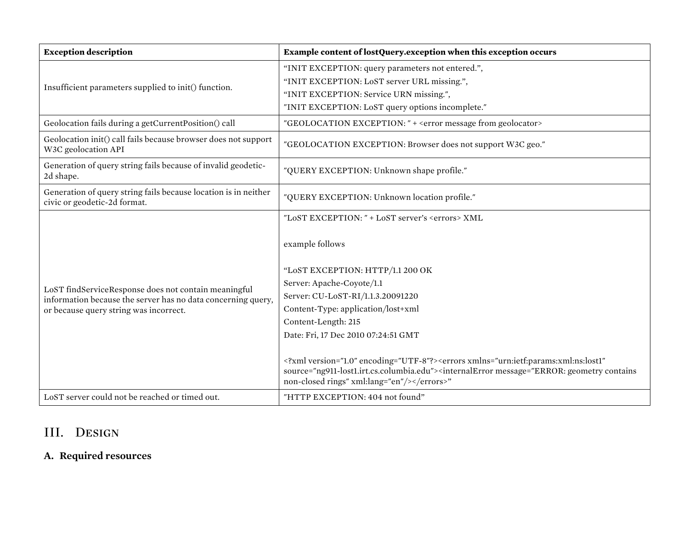| <b>Exception description</b>                                                                                                                                   | Example content of lostQuery.exception when this exception occurs                                                                                                                                                                                                                                                                                                                                                                                                                                                                                           |
|----------------------------------------------------------------------------------------------------------------------------------------------------------------|-------------------------------------------------------------------------------------------------------------------------------------------------------------------------------------------------------------------------------------------------------------------------------------------------------------------------------------------------------------------------------------------------------------------------------------------------------------------------------------------------------------------------------------------------------------|
| Insufficient parameters supplied to init() function.                                                                                                           | "INIT EXCEPTION: query parameters not entered.",<br>"INIT EXCEPTION: LoST server URL missing.",<br>"INIT EXCEPTION: Service URN missing.",<br>"INIT EXCEPTION: LoST query options incomplete."                                                                                                                                                                                                                                                                                                                                                              |
| Geolocation fails during a getCurrentPosition() call                                                                                                           | "GEOLOCATION EXCEPTION: " + < error message from geolocator>                                                                                                                                                                                                                                                                                                                                                                                                                                                                                                |
| Geolocation init() call fails because browser does not support<br>W3C geolocation API                                                                          | "GEOLOCATION EXCEPTION: Browser does not support W3C geo."                                                                                                                                                                                                                                                                                                                                                                                                                                                                                                  |
| Generation of query string fails because of invalid geodetic-<br>2d shape.                                                                                     | "QUERY EXCEPTION: Unknown shape profile."                                                                                                                                                                                                                                                                                                                                                                                                                                                                                                                   |
| Generation of query string fails because location is in neither<br>civic or geodetic-2d format.                                                                | "QUERY EXCEPTION: Unknown location profile."                                                                                                                                                                                                                                                                                                                                                                                                                                                                                                                |
| LoST findServiceResponse does not contain meaningful<br>information because the server has no data concerning query,<br>or because query string was incorrect. | "LOST EXCEPTION: " + LOST server's <errors> XML<br/>example follows<br/>"LOST EXCEPTION: HTTP/1.1 200 OK<br/>Server: Apache-Coyote/1.1<br/>Server: CU-LoST-RI/1.1.3.20091220<br/>Content-Type: application/lost+xml<br/>Content-Length: 215<br/>Date: Fri, 17 Dec 2010 07:24:51 GMT<br/><?xml version="1.0" encoding="UTF-8"?><errors <br="" xmlns="urn:ietf:params:xml:ns:lost1">source="ng911-lost1.irt.cs.columbia.edu"&gt;<internalerror message="ERROR: geometry contains&lt;br&gt;non-closed rings" xml:lang="en"></internalerror></errors>"</errors> |
| LoST server could not be reached or timed out.                                                                                                                 | "HTTP EXCEPTION: 404 not found"                                                                                                                                                                                                                                                                                                                                                                                                                                                                                                                             |

# III. Design

# **A. Required resources**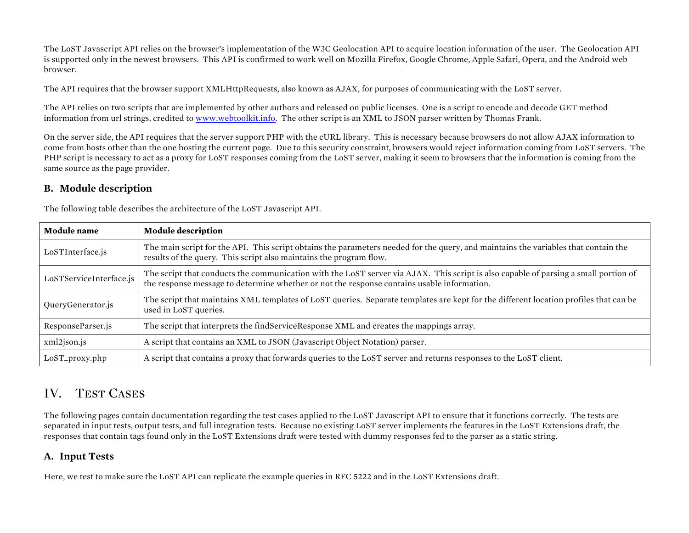The LoST Javascript API relies on the browser's implementation of the W3C Geolocation API to acquire location information of the user. The Geolocation API is supported only in the newest browsers. This API is confirmed to work well on Mozilla Firefox, Google Chrome, Apple Safari, Opera, and the Android web browser.

The API requires that the browser support XMLHttpRequests, also known as AJAX, for purposes of communicating with the LoST server.

The API relies on two scripts that are implemented by other authors and released on public licenses. One is a script to encode and decode GET method information from url strings, credited to www.webtoolkit.info. The other script is an XML to JSON parser written by Thomas Frank.

On the server side, the API requires that the server support PHP with the cURL library. This is necessary because browsers do not allow AJAX information to come from hosts other than the one hosting the current page. Due to this security constraint, browsers would reject information coming from LoST servers. The PHP script is necessary to act as a proxy for LoST responses coming from the LoST server, making it seem to browsers that the information is coming from the same source as the page provider.

### **B. Module description**

The following table describes the architecture of the LoST Javascript API.

| <b>Module</b> name      | <b>Module description</b>                                                                                                                                                                                                         |
|-------------------------|-----------------------------------------------------------------------------------------------------------------------------------------------------------------------------------------------------------------------------------|
| LoSTInterface.js        | The main script for the API. This script obtains the parameters needed for the query, and maintains the variables that contain the<br>results of the query. This script also maintains the program flow.                          |
| LoSTServiceInterface.js | The script that conducts the communication with the LoST server via AJAX. This script is also capable of parsing a small portion of<br>the response message to determine whether or not the response contains usable information. |
| QueryGenerator.js       | The script that maintains XML templates of LoST queries. Separate templates are kept for the different location profiles that can be<br>used in LoST queries.                                                                     |
| ResponseParser.js       | The script that interprets the findServiceResponse XML and creates the mappings array.                                                                                                                                            |
| xml2json.js             | A script that contains an XML to JSON (Javascript Object Notation) parser.                                                                                                                                                        |
| LoST_proxy.php          | A script that contains a proxy that forwards queries to the LoST server and returns responses to the LoST client.                                                                                                                 |

### IV. TEST CASES

The following pages contain documentation regarding the test cases applied to the LoST Javascript API to ensure that it functions correctly. The tests are separated in input tests, output tests, and full integration tests. Because no existing LoST server implements the features in the LoST Extensions draft, the responses that contain tags found only in the LoST Extensions draft were tested with dummy responses fed to the parser as a static string.

### **A. Input Tests**

Here, we test to make sure the LoST API can replicate the example queries in RFC 5222 and in the LoST Extensions draft.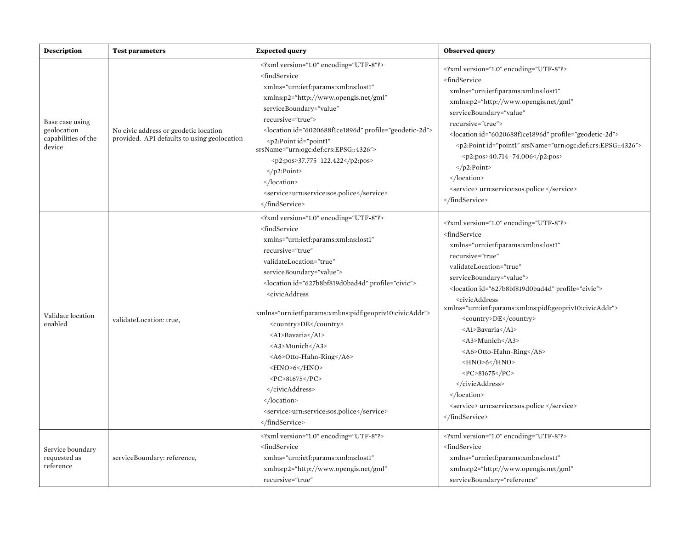| <b>Description</b>                                              | <b>Test parameters</b>                                                               | <b>Expected query</b>                                                                                                                                                                                                                                                                                                                                                                                                                                                                                                                                             | <b>Observed query</b>                                                                                                                                                                                                                                                                                                                                                                                                                                                                                                                                                                        |
|-----------------------------------------------------------------|--------------------------------------------------------------------------------------|-------------------------------------------------------------------------------------------------------------------------------------------------------------------------------------------------------------------------------------------------------------------------------------------------------------------------------------------------------------------------------------------------------------------------------------------------------------------------------------------------------------------------------------------------------------------|----------------------------------------------------------------------------------------------------------------------------------------------------------------------------------------------------------------------------------------------------------------------------------------------------------------------------------------------------------------------------------------------------------------------------------------------------------------------------------------------------------------------------------------------------------------------------------------------|
| Base case using<br>geolocation<br>capabilities of the<br>device | No civic address or geodetic location<br>provided. API defaults to using geolocation | xml version="1.0" encoding="UTF-8"?<br><findservice<br>xmlns="urn:ietf:params:xml:ns:lost1"<br/>xmlns:p2="http://www.opengis.net/gml"<br/>serviceBoundary="value"<br/>recursive="true"&gt;<br/><location id="6020688f1ce1896d" profile="geodetic-2d"><br/><p2:point <br="" id="point1">srsName="urn:ogc:def:crs:EPSG::4326"&gt;<br/><p2:pos>37.775 -122.422</p2:pos><br/><math>\langle</math>/p2:Point&gt;<br/></p2:point></location><br/><service>urn:service:sos.police</service><br/></findservice<br>                                                         | xml version="1.0" encoding="UTF-8"?<br><findservice<br>xmlns="urn:ietf:params:xml:ns:lost1"<br/>xmlns:p2="http://www.opengis.net/gml"<br/>serviceBoundary="value"<br/>recursive="true"&gt;<br/><location id="6020688f1ce1896d" profile="geodetic-2d"><br/><p2:point id="point1" srsname="urn:ogc:def:crs:EPSG::4326"><br/><p2:pos>40.714 -74.006</p2:pos><br/><math>&lt;</math>/p2:Point&gt;<br/></p2:point></location><br/><service> urn:service:sos.police </service><br/></findservice<br>                                                                                                |
| Validate location<br>enabled                                    | validateLocation: true,                                                              | xml version="1.0" encoding="UTF-8"?<br><findservice<br>xmlns="urn:ietf:params:xml:ns:lost1"<br/>recursive="true"<br/>validateLocation="true"<br/>serviceBoundary="value"&gt;<br/><location id="627b8bf819d0bad4d" profile="civic"><br/><civicaddress<br>xmlns="urn:ietf:params:xml:ns:pidf:geopriv10:civicAddr"&gt;<br/><country>DE</country><br/><al>Bavaria</al><br/><a3>Munich</a3><br/><a6>Otto-Hahn-Ring</a6><br/><hno>6</hno><br/><pc>81675</pc><br/><br/></civicaddress<br></location><br/><service>urn:service:sos.police</service><br/></findservice<br> | xml version="1.0" encoding="UTF-8"?<br><findservice<br>xmlns="urn:ietf:params:xml:ns:lost1"<br/>recursive="true"<br/>validateLocation="true"<br/>serviceBoundary="value"&gt;<br/><location id="627b8bf819d0bad4d" profile="civic"><br/><civicaddress<br>xmlns="urn:ietf:params:xml:ns:pidf:geopriv10:civicAddr"&gt;<br/><country>DE</country><br/><a1>Bavaria</a1><br/><a3>Munich</a3><br/><a6>Otto-Hahn-Ring</a6><br/><math>-HNO&gt;6<!--1/ < HNO--></math><br/><pc>81675</pc><br/><br/></civicaddress<br></location><br/><service> urn:service:sos.police </service><br/></findservice<br> |
| Service boundary<br>requested as<br>reference                   | serviceBoundary: reference,                                                          | xml version="1.0" encoding="UTF-8"?<br><findservice<br>xmlns="urn:ietf:params:xml:ns:lost1"<br/>xmlns:p2="http://www.opengis.net/gml"<br/>recursive="true"</findservice<br>                                                                                                                                                                                                                                                                                                                                                                                       | xml version="1.0" encoding="UTF-8"?<br><findservice<br>xmlns="urn:ietf:params:xml:ns:lost1"<br/>xmlns:p2="http://www.opengis.net/gml"<br/>serviceBoundary="reference"</findservice<br>                                                                                                                                                                                                                                                                                                                                                                                                       |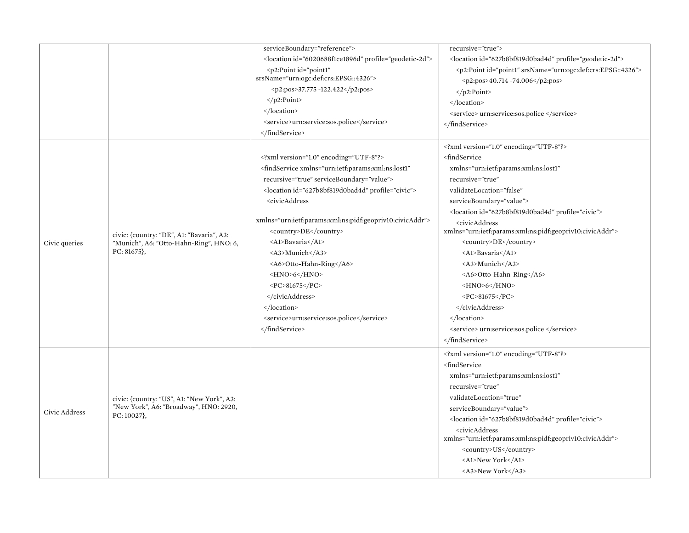|               |                                                                                                       | serviceBoundary="reference">                                                                                                | recursive="true">                                                      |
|---------------|-------------------------------------------------------------------------------------------------------|-----------------------------------------------------------------------------------------------------------------------------|------------------------------------------------------------------------|
|               |                                                                                                       | <location id="6020688f1ce1896d" profile="geodetic-2d"></location>                                                           | <location id="627b8bf819d0bad4d" profile="geodetic-2d"></location>     |
|               |                                                                                                       | <p2:point <="" id="point1" td=""><td><p2:point id="point1" srsname="urn:ogc:def:crs:EPSG::4326"></p2:point></td></p2:point> | <p2:point id="point1" srsname="urn:ogc:def:crs:EPSG::4326"></p2:point> |
|               |                                                                                                       | srsName="urn:ogc:def:crs:EPSG::4326">                                                                                       | <p2:pos>40.714 -74.006</p2:pos>                                        |
|               |                                                                                                       | <p2:pos>37.775 -122.422</p2:pos>                                                                                            | $<$ /p2:Point>                                                         |
|               |                                                                                                       | $<$ /p2:Point>                                                                                                              |                                                                        |
|               |                                                                                                       |                                                                                                                             | <service> urn:service:sos.police </service>                            |
|               |                                                                                                       | <service>urn:service:sos.police</service>                                                                                   |                                                                        |
|               |                                                                                                       |                                                                                                                             |                                                                        |
|               |                                                                                                       |                                                                                                                             | xml version="1.0" encoding="UTF-8"?                                    |
|               |                                                                                                       | xml version="1.0" encoding="UTF-8"?                                                                                         | <findservice< td=""></findservice<>                                    |
|               |                                                                                                       | <findservice <="" td="" xmlns="urn:ietf:params:xml:ns:lost1"><td>xmlns="urn:ietf:params:xml:ns:lost1"</td></findservice>    | xmlns="urn:ietf:params:xml:ns:lost1"                                   |
|               |                                                                                                       | recursive="true" serviceBoundary="value">                                                                                   | recursive="true"                                                       |
|               |                                                                                                       | <location id="627b8bf819d0bad4d" profile="civic"></location>                                                                | validateLocation="false"                                               |
|               |                                                                                                       | <civicaddress< td=""><td>serviceBoundary="value"&gt;</td></civicaddress<>                                                   | serviceBoundary="value">                                               |
|               |                                                                                                       |                                                                                                                             | <location id="627b8bf819d0bad4d" profile="civic"></location>           |
|               |                                                                                                       | xmlns="urn:ietf:params:xml:ns:pidf:geopriv10:civicAddr">                                                                    | <civicaddress< td=""></civicaddress<>                                  |
|               | civic: {country: "DE", A1: "Bavaria", A3:<br>"Munich", A6: "Otto-Hahn-Ring", HNO: 6,<br>$PC: 81675$ , | <country>DE</country>                                                                                                       | xmlns="urn:ietf:params:xml:ns:pidf:geopriv10:civicAddr">               |
| Civic queries |                                                                                                       | <al>Bavaria</al>                                                                                                            | <country>DE</country>                                                  |
|               |                                                                                                       | <a3>Munich</a3>                                                                                                             | <al>Bavaria</al>                                                       |
|               |                                                                                                       | <a6>Otto-Hahn-Ring</a6>                                                                                                     | <a3>Munich</a3>                                                        |
|               |                                                                                                       | $-HNO>6$                                                                                                                    | <a6>Otto-Hahn-Ring</a6>                                                |
|               |                                                                                                       | <pc>81675</pc>                                                                                                              | $-HNO>6$                                                               |
|               |                                                                                                       |                                                                                                                             | <pc>81675</pc>                                                         |
|               |                                                                                                       |                                                                                                                             |                                                                        |
|               |                                                                                                       | <service>urn:service:sos.police</service>                                                                                   |                                                                        |
|               |                                                                                                       |                                                                                                                             | <service> urn:service:sos.police </service>                            |
|               |                                                                                                       |                                                                                                                             |                                                                        |
|               |                                                                                                       |                                                                                                                             | xml version="1.0" encoding="UTF-8"?                                    |
|               |                                                                                                       |                                                                                                                             | <findservice< td=""></findservice<>                                    |
|               |                                                                                                       |                                                                                                                             | xmlns="urn:ietf:params:xml:ns:lost1"                                   |
|               |                                                                                                       |                                                                                                                             | recursive="true"                                                       |
| Civic Address | civic: {country: "US", A1: "New York", A3:                                                            |                                                                                                                             | validateLocation="true"                                                |
|               | "New York", A6: "Broadway", HNO: 2920,                                                                |                                                                                                                             | serviceBoundary="value">                                               |
|               | $PC: 10027$ ,                                                                                         |                                                                                                                             | <location id="627b8bf819d0bad4d" profile="civic"></location>           |
|               |                                                                                                       |                                                                                                                             | <civicaddress< td=""></civicaddress<>                                  |
|               |                                                                                                       |                                                                                                                             | xmlns="urn:ietf:params:xml:ns:pidf:geopriv10:civicAddr">               |
|               |                                                                                                       |                                                                                                                             | <country>US</country>                                                  |
|               |                                                                                                       |                                                                                                                             | <al>New York</al>                                                      |
|               |                                                                                                       |                                                                                                                             | <a3>New York</a3>                                                      |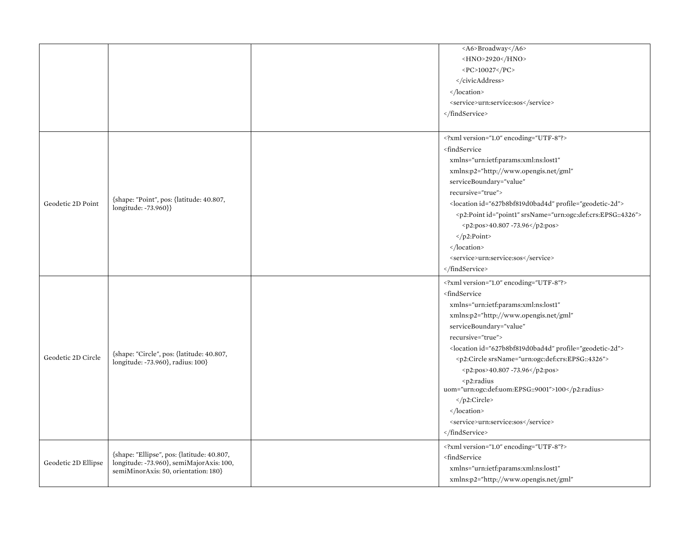|                     |                                                                                                                                | <a6>Broadway</a6><br><hno>2920</hno><br><pc>10027</pc><br><br><br><service>urn:service:sos</service><br>                                                                                                                                                                                                                                                                                                                                                                                                              |
|---------------------|--------------------------------------------------------------------------------------------------------------------------------|-----------------------------------------------------------------------------------------------------------------------------------------------------------------------------------------------------------------------------------------------------------------------------------------------------------------------------------------------------------------------------------------------------------------------------------------------------------------------------------------------------------------------|
| Geodetic 2D Point   | {shape: "Point", pos: {latitude: 40.807,<br>longitude: -73.960}}                                                               | xml version="1.0" encoding="UTF-8"?<br><findservice<br>xmlns="urn:ietf:params:xml:ns:lost1"<br/>xmlns:p2="http://www.opengis.net/gml"<br/>serviceBoundary="value"<br/>recursive="true"&gt;<br/><location id="627b8bf819d0bad4d" profile="geodetic-2d"><br/><p2:point id="point1" srsname="urn:ogc:def:crs:EPSG::4326"><br/><p2:pos>40.807 -73.96</p2:pos><br/></p2:point><br/></location><br/><service>urn:service:sos</service><br/></findservice<br>                                                                |
| Geodetic 2D Circle  | {shape: "Circle", pos: {latitude: 40.807,<br>longitude: -73.960}, radius: 100}                                                 | xml version="1.0" encoding="UTF-8"?<br><findservice<br>xmlns="urn:ietf:params:xml:ns:lost1"<br/>xmlns:p2="http://www.opengis.net/gml"<br/>serviceBoundary="value"<br/>recursive="true"&gt;<br/><location id="627b8bf819d0bad4d" profile="geodetic-2d"><br/><p2:circle srsname="urn:ogc:def:crs:EPSG::4326"><br/><p2:pos>40.807 -73.96</p2:pos><br/><p2:radius<br>uom="urn:ogc:def:uom:EPSG::9001"&gt;100<br/></p2:radius<br></p2:circle><br/></location><br/><service>urn:service:sos</service><br/></findservice<br> |
| Geodetic 2D Ellipse | {shape: "Ellipse", pos: {latitude: 40.807,<br>longitude: -73.960}, semiMajorAxis: 100,<br>semiMinorAxis: 50, orientation: 180} | xml version="1.0" encoding="UTF-8"?<br><findservice<br>xmlns="urn:ietf:params:xml:ns:lost1"<br/>xmlns:p2="http://www.opengis.net/gml"</findservice<br>                                                                                                                                                                                                                                                                                                                                                                |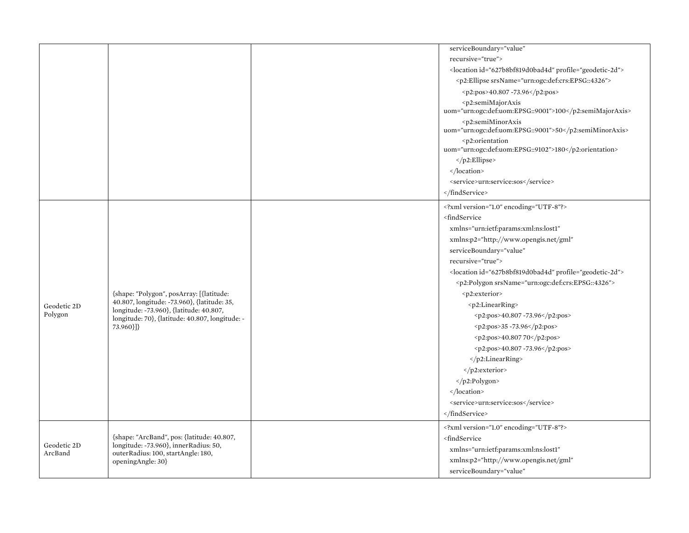|             |                                                                                                                                                                                                       |  | serviceBoundary="value"                                                                                                                                                                                                                                                                                                                                                                                                                         |
|-------------|-------------------------------------------------------------------------------------------------------------------------------------------------------------------------------------------------------|--|-------------------------------------------------------------------------------------------------------------------------------------------------------------------------------------------------------------------------------------------------------------------------------------------------------------------------------------------------------------------------------------------------------------------------------------------------|
|             |                                                                                                                                                                                                       |  | recursive="true">                                                                                                                                                                                                                                                                                                                                                                                                                               |
|             |                                                                                                                                                                                                       |  | <location id="627b8bf819d0bad4d" profile="geodetic-2d"></location>                                                                                                                                                                                                                                                                                                                                                                              |
|             |                                                                                                                                                                                                       |  | <p2:ellipse srsname="urn:ogc:def:crs:EPSG::4326"></p2:ellipse>                                                                                                                                                                                                                                                                                                                                                                                  |
|             |                                                                                                                                                                                                       |  | <p2:pos>40.807 -73.96</p2:pos>                                                                                                                                                                                                                                                                                                                                                                                                                  |
|             |                                                                                                                                                                                                       |  | <p2:semimajoraxis<br>uom="urn:ogc:def:uom:EPSG::9001"&gt;100</p2:semimajoraxis<br>                                                                                                                                                                                                                                                                                                                                                              |
|             |                                                                                                                                                                                                       |  | <p2:semiminoraxis<br>uom="urn:ogc:def:uom:EPSG::9001"&gt;50</p2:semiminoraxis<br>                                                                                                                                                                                                                                                                                                                                                               |
|             |                                                                                                                                                                                                       |  | <p2:orientation<br>uom="urn:ogc:def:uom:EPSG::9102"&gt;180</p2:orientation<br>                                                                                                                                                                                                                                                                                                                                                                  |
|             |                                                                                                                                                                                                       |  |                                                                                                                                                                                                                                                                                                                                                                                                                                                 |
|             |                                                                                                                                                                                                       |  |                                                                                                                                                                                                                                                                                                                                                                                                                                                 |
|             |                                                                                                                                                                                                       |  | <service>urn:service:sos</service>                                                                                                                                                                                                                                                                                                                                                                                                              |
|             |                                                                                                                                                                                                       |  |                                                                                                                                                                                                                                                                                                                                                                                                                                                 |
|             |                                                                                                                                                                                                       |  | xml version="1.0" encoding="UTF-8"?                                                                                                                                                                                                                                                                                                                                                                                                             |
|             |                                                                                                                                                                                                       |  | <findservice< td=""></findservice<>                                                                                                                                                                                                                                                                                                                                                                                                             |
|             | {shape: "Polygon", posArray: [{latitude:<br>40.807, longitude: -73.960}, {latitude: 35,<br>longitude: -73.960}, {latitude: 40.807,<br>longitude: 70}, {latitude: 40.807, longitude: -<br>$73.960$ }]} |  | xmlns="urn:ietf:params:xml:ns:lost1"                                                                                                                                                                                                                                                                                                                                                                                                            |
|             |                                                                                                                                                                                                       |  | xmlns:p2="http://www.opengis.net/gml"                                                                                                                                                                                                                                                                                                                                                                                                           |
|             |                                                                                                                                                                                                       |  | serviceBoundary="value"                                                                                                                                                                                                                                                                                                                                                                                                                         |
|             |                                                                                                                                                                                                       |  | recursive="true">                                                                                                                                                                                                                                                                                                                                                                                                                               |
|             |                                                                                                                                                                                                       |  | <location id="627b8bf819d0bad4d" profile="geodetic-2d"></location>                                                                                                                                                                                                                                                                                                                                                                              |
|             |                                                                                                                                                                                                       |  | <p2:polygon srsname="urn:ogc:def:crs:EPSG::4326"></p2:polygon>                                                                                                                                                                                                                                                                                                                                                                                  |
|             |                                                                                                                                                                                                       |  | <p2:exterior></p2:exterior>                                                                                                                                                                                                                                                                                                                                                                                                                     |
| Geodetic 2D |                                                                                                                                                                                                       |  | <p2:linearring></p2:linearring>                                                                                                                                                                                                                                                                                                                                                                                                                 |
| Polygon     |                                                                                                                                                                                                       |  | $\n\frac{1}{2} \cdot \frac{1}{2} \cdot \frac{1}{2} \cdot \frac{1}{2} \cdot \frac{1}{2} \cdot \frac{1}{2} \cdot \frac{1}{2} \cdot \frac{1}{2} \cdot \frac{1}{2} \cdot \frac{1}{2} \cdot \frac{1}{2} \cdot \frac{1}{2} \cdot \frac{1}{2} \cdot \frac{1}{2} \cdot \frac{1}{2} \cdot \frac{1}{2} \cdot \frac{1}{2} \cdot \frac{1}{2} \cdot \frac{1}{2} \cdot \frac{1}{2} \cdot \frac{1}{2} \cdot \frac{1}{2} \cdot \frac{1}{2} \cdot \frac{1}{2} \$ |
|             |                                                                                                                                                                                                       |  | $2:pos>35 - 73.96 < p2:pos>35 - 73.96$                                                                                                                                                                                                                                                                                                                                                                                                          |
|             |                                                                                                                                                                                                       |  | <p2:pos>40.807 70</p2:pos>                                                                                                                                                                                                                                                                                                                                                                                                                      |
|             |                                                                                                                                                                                                       |  | <p2:pos>40.807 -73.96</p2:pos>                                                                                                                                                                                                                                                                                                                                                                                                                  |
|             |                                                                                                                                                                                                       |  |                                                                                                                                                                                                                                                                                                                                                                                                                                                 |
|             |                                                                                                                                                                                                       |  |                                                                                                                                                                                                                                                                                                                                                                                                                                                 |
|             |                                                                                                                                                                                                       |  |                                                                                                                                                                                                                                                                                                                                                                                                                                                 |
|             |                                                                                                                                                                                                       |  |                                                                                                                                                                                                                                                                                                                                                                                                                                                 |
|             |                                                                                                                                                                                                       |  | <service>urn:service:sos</service>                                                                                                                                                                                                                                                                                                                                                                                                              |
|             |                                                                                                                                                                                                       |  |                                                                                                                                                                                                                                                                                                                                                                                                                                                 |
|             |                                                                                                                                                                                                       |  | xml version="1.0" encoding="UTF-8"?                                                                                                                                                                                                                                                                                                                                                                                                             |
|             | {shape: "ArcBand", pos: {latitude: 40.807,                                                                                                                                                            |  | <findservice< td=""></findservice<>                                                                                                                                                                                                                                                                                                                                                                                                             |
| Geodetic 2D | longitude: -73.960}, innerRadius: 50,                                                                                                                                                                 |  | xmlns="urn:ietf:params:xml:ns:lost1"                                                                                                                                                                                                                                                                                                                                                                                                            |
| ArcBand     | outerRadius: 100, startAngle: 180,<br>openingAngle: 30}                                                                                                                                               |  | xmlns:p2="http://www.opengis.net/gml"                                                                                                                                                                                                                                                                                                                                                                                                           |
|             |                                                                                                                                                                                                       |  | serviceBoundary="value"                                                                                                                                                                                                                                                                                                                                                                                                                         |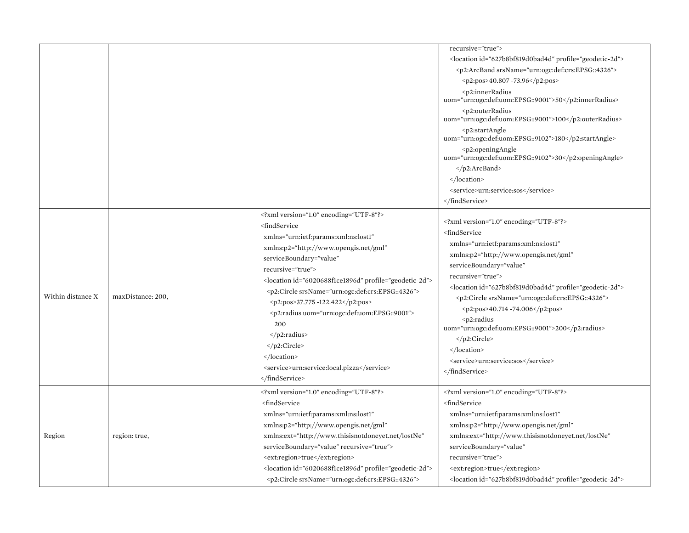|                   |                   |                                                                                                                                                                                                                                                                                                                                                                                                                                                                                                                            | recursive="true"><br><location id="627b8bf819d0bad4d" profile="geodetic-2d"></location>                                                                                                                                                                                                                                                                                                                                                                                                                                                             |
|-------------------|-------------------|----------------------------------------------------------------------------------------------------------------------------------------------------------------------------------------------------------------------------------------------------------------------------------------------------------------------------------------------------------------------------------------------------------------------------------------------------------------------------------------------------------------------------|-----------------------------------------------------------------------------------------------------------------------------------------------------------------------------------------------------------------------------------------------------------------------------------------------------------------------------------------------------------------------------------------------------------------------------------------------------------------------------------------------------------------------------------------------------|
|                   |                   |                                                                                                                                                                                                                                                                                                                                                                                                                                                                                                                            | <p2:arcband srsname="urn:ogc:def:crs:EPSG::4326"></p2:arcband>                                                                                                                                                                                                                                                                                                                                                                                                                                                                                      |
|                   |                   |                                                                                                                                                                                                                                                                                                                                                                                                                                                                                                                            | <p2:pos>40.807 -73.96</p2:pos>                                                                                                                                                                                                                                                                                                                                                                                                                                                                                                                      |
|                   |                   |                                                                                                                                                                                                                                                                                                                                                                                                                                                                                                                            | <p2:innerradius<br>uom="urn:ogc:def:uom:EPSG::9001"&gt;50</p2:innerradius<br>                                                                                                                                                                                                                                                                                                                                                                                                                                                                       |
|                   |                   |                                                                                                                                                                                                                                                                                                                                                                                                                                                                                                                            | <p2:outerradius<br>uom="urn:ogc:def:uom:EPSG::9001"&gt;100</p2:outerradius<br>                                                                                                                                                                                                                                                                                                                                                                                                                                                                      |
|                   |                   |                                                                                                                                                                                                                                                                                                                                                                                                                                                                                                                            | <p2:startangle<br>uom="urn:ogc:def:uom:EPSG::9102"&gt;180</p2:startangle<br>                                                                                                                                                                                                                                                                                                                                                                                                                                                                        |
|                   |                   |                                                                                                                                                                                                                                                                                                                                                                                                                                                                                                                            | <p2:openingangle<br>uom="urn:ogc:def:uom:EPSG::9102"&gt;30</p2:openingangle<br>                                                                                                                                                                                                                                                                                                                                                                                                                                                                     |
|                   |                   |                                                                                                                                                                                                                                                                                                                                                                                                                                                                                                                            | $\langle p2:ArcBand \rangle$                                                                                                                                                                                                                                                                                                                                                                                                                                                                                                                        |
|                   |                   |                                                                                                                                                                                                                                                                                                                                                                                                                                                                                                                            |                                                                                                                                                                                                                                                                                                                                                                                                                                                                                                                                                     |
|                   |                   |                                                                                                                                                                                                                                                                                                                                                                                                                                                                                                                            | <service>urn:service:sos</service>                                                                                                                                                                                                                                                                                                                                                                                                                                                                                                                  |
|                   |                   |                                                                                                                                                                                                                                                                                                                                                                                                                                                                                                                            |                                                                                                                                                                                                                                                                                                                                                                                                                                                                                                                                                     |
| Within distance X | maxDistance: 200, | xml version="1.0" encoding="UTF-8"?<br><findservice<br>xmlns="urn:ietf:params:xml:ns:lost1"<br/>xmlns:p2="http://www.opengis.net/gml"<br/>serviceBoundary="value"<br/>recursive="true"&gt;<br/><location id="6020688f1ce1896d" profile="geodetic-2d"><br/><p2:circle srsname="urn:ogc:def:crs:EPSG::4326"><br/><p2:pos>37.775 -122.422</p2:pos><br/><p2:radius uom="urn:ogc:def:uom:EPSG::9001"><br/>200<br/></p2:radius><br/></p2:circle><br/></location><br/><service>urn:service:local.pizza</service></findservice<br> | xml version="1.0" encoding="UTF-8"?<br><findservice<br>xmlns="urn:ietf:params:xml:ns:lost1"<br/>xmlns:p2="http://www.opengis.net/gml"<br/>serviceBoundary="value"<br/>recursive="true"&gt;<br/><location id="627b8bf819d0bad4d" profile="geodetic-2d"><br/><p2:circle srsname="urn:ogc:def:crs:EPSG::4326"><br/><math>&lt; p2:pos &gt; 40.714 - 74.006 &lt; p2:pos &gt;</math><br/><math>p2:radius</math><br/>uom="urn:ogc:def:uom:EPSG::9001"&gt;200<br/></p2:circle><br/></location><br/><service>urn:service:sos</service><br/></findservice<br> |
| Region            | region: true,     | <br>xml version="1.0" encoding="UTF-8"?<br><findservice<br>xmlns="urn:ietf:params:xml:ns:lost1"<br/>xmlns:p2="http://www.opengis.net/gml"<br/>xmlns:ext="http://www.thisisnotdoneyet.net/lostNe"<br/>serviceBoundary="value" recursive="true"&gt;<br/><ext:region>true</ext:region><br/><location id="6020688f1ce1896d" profile="geodetic-2d"><br/><p2:circle srsname="urn:ogc:def:crs:EPSG::4326"></p2:circle></location></findservice<br>                                                                                | xml version="1.0" encoding="UTF-8"?<br><findservice<br>xmlns="urn:ietf:params:xml:ns:lost1"<br/>xmlns:p2="http://www.opengis.net/gml"<br/>xmlns:ext="http://www.thisisnotdoneyet.net/lostNe"<br/>serviceBoundary="value"<br/>recursive="true"&gt;<br/><ext:region>true</ext:region><br/><location id="627b8bf819d0bad4d" profile="geodetic-2d"></location></findservice<br>                                                                                                                                                                         |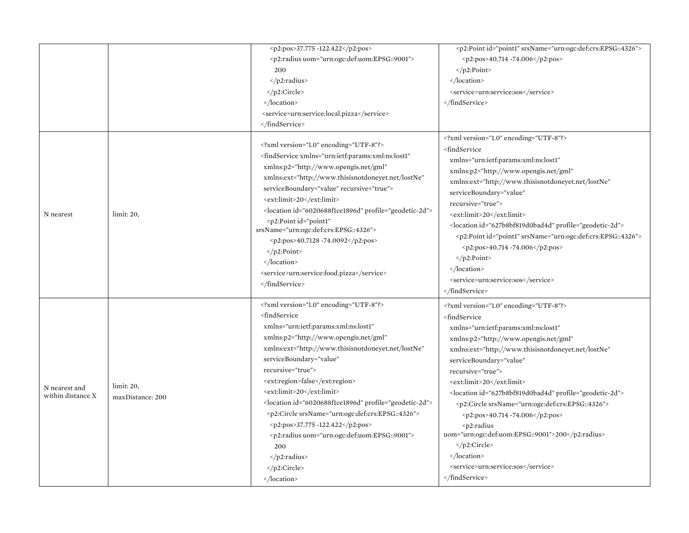|                                    |                                | <p2:pos>37.775 -122.422</p2:pos><br><p2:radius uom="urn:ogc:def:uom:EPSG::9001"><br/>200<br/><math>\langle</math>/p2:radius&gt;<br/><br/><math>\langle</math>/location&gt;<br/><service>urn:service:local.pizza</service><br/></p2:radius>                                                                                                                                                                                                                                                                                                                                                                                            | <p2:point id="point1" srsname="urn:ogc:def:crs:EPSG::4326"><br/><p2:pos>40.714 -74.006</p2:pos><br/><math>&lt;</math>/p2:Point&gt;<br/><br/><service>urn:service:sos</service><br/></p2:point>                                                                                                                                                                                                                                                                                                                                                                                                                                                                            |
|------------------------------------|--------------------------------|---------------------------------------------------------------------------------------------------------------------------------------------------------------------------------------------------------------------------------------------------------------------------------------------------------------------------------------------------------------------------------------------------------------------------------------------------------------------------------------------------------------------------------------------------------------------------------------------------------------------------------------|---------------------------------------------------------------------------------------------------------------------------------------------------------------------------------------------------------------------------------------------------------------------------------------------------------------------------------------------------------------------------------------------------------------------------------------------------------------------------------------------------------------------------------------------------------------------------------------------------------------------------------------------------------------------------|
| N nearest                          | limit: 20,                     | xml version="1.0" encoding="UTF-8"?<br><findservice <br="" xmlns="urn:ietf:params:xml:ns:lost1">xmlns:p2="http://www.opengis.net/gml"<br/>xmlns:ext="http://www.thisisnotdoneyet.net/lostNe"<br/>serviceBoundary="value" recursive="true"&gt;<br/><ext:limit>20</ext:limit><br/><location id="6020688f1ce1896d" profile="geodetic-2d"><br/><p2:point <br="" id="point1">srsName="urn:ogc:def:crs:EPSG::4326"&gt;<br/><p2:pos>40.7128 -74.0092</p2:pos><br/><math>\langle</math>/p2:Point&gt;<br/></p2:point></location><br/><service>urn:service:food.pizza</service><br/></findservice>                                              | xml version="1.0" encoding="UTF-8"?<br><findservice<br>xmlns="urn:ietf:params:xml:ns:lost1"<br/>xmlns:p2="http://www.opengis.net/gml"<br/>xmlns:ext="http://www.thisisnotdoneyet.net/lostNe"<br/>serviceBoundary="value"<br/>recursive="true"&gt;<br/><ext:limit>20</ext:limit><br/><location id="627b8bf819d0bad4d" profile="geodetic-2d"><br/><p2:point id="point1" srsname="urn:ogc:def:crs:EPSG::4326"><br/><p2:pos>40.714 -74.006</p2:pos><br/><math>\langle</math>/p2:Point&gt;<br/></p2:point></location><br/><service>urn:service:sos</service><br/></findservice<br>                                                                                             |
| N nearest and<br>within distance X | limit: 20,<br>maxDistance: 200 | xml version="1.0" encoding="UTF-8"?<br><findservice<br>xmlns="urn:ietf:params:xml:ns:lost1"<br/>xmlns:p2="http://www.opengis.net/gml"<br/>xmlns:ext="http://www.thisisnotdoneyet.net/lostNe"<br/>serviceBoundary="value"<br/>recursive="true"&gt;<br/><ext:region>false</ext:region><br/><ext:limit>20</ext:limit><br/><location id="6020688f1ce1896d" profile="geodetic-2d"><br/><p2:circle srsname="urn:ogc:def:crs:EPSG::4326"><br/><p2:pos>37.775 -122.422</p2:pos><br/><p2:radius uom="urn:ogc:def:uom:EPSG::9001"><br/>200<br/><math>\langle</math>/p2:radius&gt;<br/></p2:radius></p2:circle><br/></location></findservice<br> | xml version="1.0" encoding="UTF-8"?<br><findservice<br>xmlns="urn:ietf:params:xml:ns:lost1"<br/>xmlns:p2="http://www.opengis.net/gml"<br/>xmlns:ext="http://www.thisisnotdoneyet.net/lostNe"<br/>serviceBoundary="value"<br/>recursive="true"&gt;<br/><ext:limit>20</ext:limit><br/><location id="627b8bf819d0bad4d" profile="geodetic-2d"><br/><p2:circle srsname="urn:ogc:def:crs:EPSG::4326"><br/><math>&lt; p2:pos &gt; 40.714 - 74.006 &lt; p2:pos &gt;</math><br/><math>p2:radius</math><br/>uom="urn:ogc:def:uom:EPSG::9001"&gt;200<br/></p2:circle><br/><math>\langle</math>/location&gt;<br/><service>urn:service:sos</service><br/></location></findservice<br> |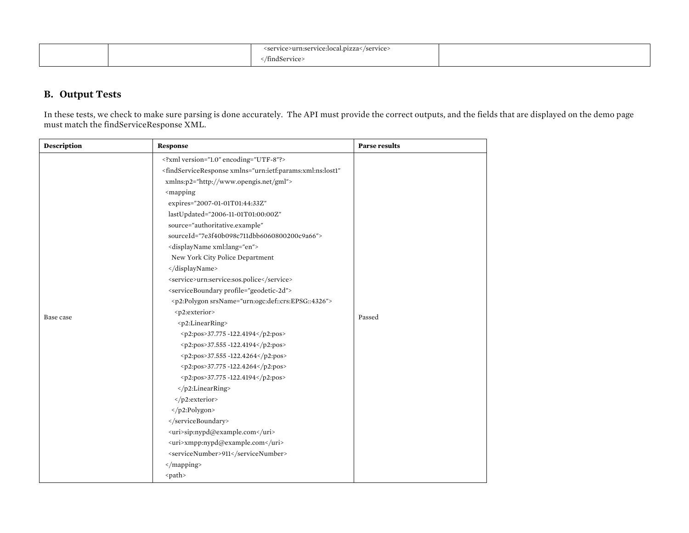|  | <service>urn:service:local.pizza</service> |  |
|--|--------------------------------------------|--|
|  | findService>                               |  |

### **B. Output Tests**

In these tests, we check to make sure parsing is done accurately. The API must provide the correct outputs, and the fields that are displayed on the demo page must match the findServiceResponse XML.

| <b>Description</b> | Response                                                                                             | <b>Parse results</b> |
|--------------------|------------------------------------------------------------------------------------------------------|----------------------|
|                    | xml version="1.0" encoding="UTF-8"?                                                                  |                      |
|                    | <findserviceresponse <="" td="" xmlns="urn:ietf:params:xml:ns:lost1"><td></td></findserviceresponse> |                      |
|                    | xmlns:p2="http://www.opengis.net/gml">                                                               |                      |
|                    | <mapping< td=""><td></td></mapping<>                                                                 |                      |
|                    | expires="2007-01-01T01:44:33Z"                                                                       |                      |
|                    | lastUpdated="2006-11-01T01:00:00Z"                                                                   |                      |
|                    | source="authoritative.example"                                                                       |                      |
|                    | sourceId="7e3f40b098c711dbb6060800200c9a66">                                                         |                      |
|                    | <displayname xml:lang="en"></displayname>                                                            |                      |
|                    | New York City Police Department                                                                      |                      |
|                    | <br><service>urn:service:sos.police</service>                                                        |                      |
|                    |                                                                                                      |                      |
|                    | <serviceboundary profile="geodetic-2d"></serviceboundary>                                            |                      |
|                    | <p2:polygon srsname="urn:ogc:def::crs:EPSG::4326"></p2:polygon>                                      |                      |
| Base case          | <p2:exterior></p2:exterior>                                                                          | Passed               |
|                    | <p2:linearring></p2:linearring>                                                                      |                      |
|                    | <p2:pos>37.775 -122.4194</p2:pos><br><p2:pos>37.555 -122.4194</p2:pos>                               |                      |
|                    |                                                                                                      |                      |
|                    | <p2:pos>37.555 -122.4264</p2:pos><br><p2:pos>37.775 -122.4264</p2:pos>                               |                      |
|                    |                                                                                                      |                      |
|                    | <p2:pos>37.775 -122.4194</p2:pos>                                                                    |                      |
|                    |                                                                                                      |                      |
|                    | <br>                                                                                                 |                      |
|                    |                                                                                                      |                      |
|                    |                                                                                                      |                      |
|                    | <uri>sip:nypd@example.com</uri>                                                                      |                      |
|                    | <uri>xmpp:nypd@example.com</uri>                                                                     |                      |
|                    | <servicenumber>911</servicenumber>                                                                   |                      |
|                    |                                                                                                      |                      |
|                    | <path></path>                                                                                        |                      |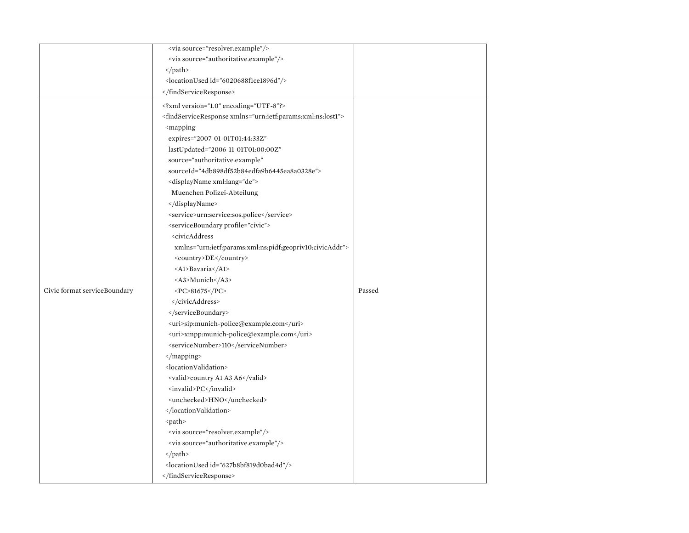|                              | <via source="resolver.example"></via>                                            |        |
|------------------------------|----------------------------------------------------------------------------------|--------|
|                              | <via source="authoritative.example"></via>                                       |        |
|                              |                                                                                  |        |
|                              | <locationused id="6020688f1ce1896d"></locationused>                              |        |
|                              |                                                                                  |        |
|                              | xml version="1.0" encoding="UTF-8"?                                              |        |
|                              | <findserviceresponse xmlns="urn:ietf:params:xml:ns:lost1"></findserviceresponse> |        |
|                              | <mapping< td=""><td></td></mapping<>                                             |        |
|                              | expires="2007-01-01T01:44:33Z"                                                   |        |
|                              | lastUpdated="2006-11-01T01:00:00Z"                                               |        |
|                              | source="authoritative.example"                                                   |        |
|                              | sourceId="4db898df52b84edfa9b6445ea8a0328e">                                     |        |
|                              | <displayname xml:lang="de"></displayname>                                        |        |
|                              | Muenchen Polizei-Abteilung                                                       |        |
|                              |                                                                                  |        |
|                              | <service>urn:service:sos.police</service>                                        |        |
|                              | <serviceboundary profile="civic"></serviceboundary>                              |        |
|                              | <civicaddress< td=""><td></td></civicaddress<>                                   |        |
|                              | xmlns="urn:ietf:params:xml:ns:pidf:geopriv10:civicAddr">                         |        |
|                              | <country>DE</country>                                                            |        |
|                              | <al>Bavaria</al>                                                                 |        |
|                              | <a3>Munich</a3>                                                                  |        |
| Civic format serviceBoundary | <pc>81675</pc>                                                                   | Passed |
|                              |                                                                                  |        |
|                              |                                                                                  |        |
|                              | <uri>sip:munich-police@example.com</uri>                                         |        |
|                              | <uri>xmpp:munich-police@example.com</uri>                                        |        |
|                              | <servicenumber>110</servicenumber>                                               |        |
|                              |                                                                                  |        |
|                              | <locationvalidation></locationvalidation>                                        |        |
|                              | <valid>country A1 A3 A6</valid>                                                  |        |
|                              | <invalid>PC</invalid>                                                            |        |
|                              | <unchecked>HNO</unchecked>                                                       |        |
|                              |                                                                                  |        |
|                              | <path></path>                                                                    |        |
|                              | <via source="resolver.example"></via>                                            |        |
|                              | <via source="authoritative.example"></via>                                       |        |
|                              |                                                                                  |        |
|                              | <locationused id="627b8bf819d0bad4d"></locationused>                             |        |
|                              |                                                                                  |        |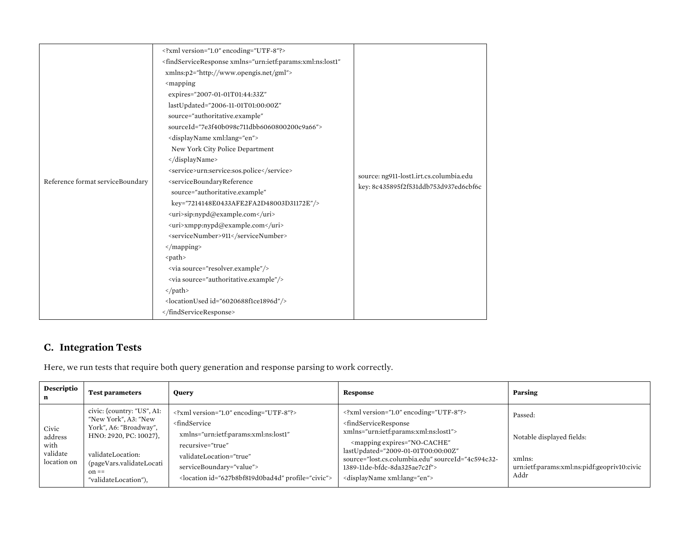|                                  | xml version="1.0" encoding="UTF-8"?                                                                                                                     |                                                                                  |
|----------------------------------|---------------------------------------------------------------------------------------------------------------------------------------------------------|----------------------------------------------------------------------------------|
|                                  | <findserviceresponse <="" td="" xmlns="urn:ietf:params:xml:ns:lost1"><td></td></findserviceresponse>                                                    |                                                                                  |
|                                  | xmlns:p2="http://www.opengis.net/gml">                                                                                                                  |                                                                                  |
|                                  | <mapping< td=""><td></td></mapping<>                                                                                                                    |                                                                                  |
|                                  | expires="2007-01-01T01:44:33Z"                                                                                                                          |                                                                                  |
|                                  | lastUpdated="2006-11-01T01:00:00Z"                                                                                                                      |                                                                                  |
|                                  | source="authoritative.example"                                                                                                                          |                                                                                  |
|                                  | sourceId="7e3f40b098c711dbb6060800200c9a66">                                                                                                            |                                                                                  |
|                                  | <displayname xml:lang="en"></displayname>                                                                                                               |                                                                                  |
|                                  | New York City Police Department                                                                                                                         |                                                                                  |
|                                  |                                                                                                                                                         |                                                                                  |
|                                  | <service>urn:service:sos.police</service>                                                                                                               |                                                                                  |
| Reference format serviceBoundary | <serviceboundaryreference< td=""><td>source: ng911-lost1.irt.cs.columbia.edu<br/>key: 8c435895f2f531ddb753d937ed6cbf6c</td></serviceboundaryreference<> | source: ng911-lost1.irt.cs.columbia.edu<br>key: 8c435895f2f531ddb753d937ed6cbf6c |
|                                  | source="authoritative.example"                                                                                                                          |                                                                                  |
|                                  | key="7214148E0433AFE2FA2D48003D31172E"/>                                                                                                                |                                                                                  |
|                                  | <uri>sip:nypd@example.com</uri>                                                                                                                         |                                                                                  |
|                                  | <uri>xmpp:nypd@example.com</uri>                                                                                                                        |                                                                                  |
|                                  | <servicenumber>911</servicenumber>                                                                                                                      |                                                                                  |
|                                  |                                                                                                                                                         |                                                                                  |
|                                  | <path></path>                                                                                                                                           |                                                                                  |
|                                  | <via source="resolver.example"></via>                                                                                                                   |                                                                                  |
|                                  | <via source="authoritative.example"></via>                                                                                                              |                                                                                  |
|                                  | $\langle$ /path>                                                                                                                                        |                                                                                  |
|                                  | <locationused id="6020688f1ce1896d"></locationused>                                                                                                     |                                                                                  |
|                                  |                                                                                                                                                         |                                                                                  |

### **C. Integration Tests**

Here, we run tests that require both query generation and response parsing to work correctly.

| Descriptio                                          | <b>Test parameters</b>                                                                                                                                                                     | <b>Ouery</b>                                                                                                                                                                                                                                                   | Response                                                                                                                                                                                                                                                                                                                                                      | Parsing                                                                                               |
|-----------------------------------------------------|--------------------------------------------------------------------------------------------------------------------------------------------------------------------------------------------|----------------------------------------------------------------------------------------------------------------------------------------------------------------------------------------------------------------------------------------------------------------|---------------------------------------------------------------------------------------------------------------------------------------------------------------------------------------------------------------------------------------------------------------------------------------------------------------------------------------------------------------|-------------------------------------------------------------------------------------------------------|
| Civic<br>address<br>with<br>validate<br>location on | civic: {country: "US", A1:<br>"New York", A3: "New<br>York", A6: "Broadway",<br>HNO: 2920, PC: 10027}.<br>validateLocation:<br>(pageVars.validateLocati<br>$on ==$<br>"validateLocation"), | xml version="1.0" encoding="UTF-8"?<br><findservice<br>xmlns="urn:ietf:params:xml:ns:lost1"<br/>recursive="true"<br/>validateLocation="true"<br/>serviceBoundary="value"&gt;<br/><location id="627b8bf819d0bad4d" profile="civic"></location></findservice<br> | xml version="1.0" encoding="UTF-8"?<br><findserviceresponse<br>xmlns="urn:ietf:params:xml:ns:lost1"&gt;<br/><mapping <br="" expires="NO-CACHE">lastUpdated="2009-01-01T00:00:00Z"<br/>source="lost.cs.columbia.edu" sourceId="4c594c32-<br/>1389-11de-bfdc-8da325ae7c2f"&gt;<br/><displayname xml:lang="en"></displayname></mapping></findserviceresponse<br> | Passed:<br>Notable displayed fields:<br>xmlns:<br>urn:ietf:params:xml:ns:pidf:geopriv10:civic<br>Addr |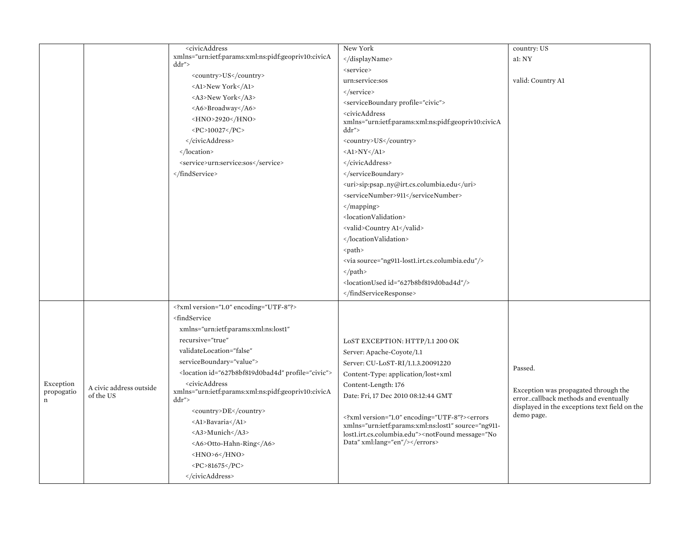|             |                         | <civicaddress< th=""><th>New York</th><th>country: US</th></civicaddress<>                | New York                                                                                                                                                                                                                                          | country: US                                                 |
|-------------|-------------------------|-------------------------------------------------------------------------------------------|---------------------------------------------------------------------------------------------------------------------------------------------------------------------------------------------------------------------------------------------------|-------------------------------------------------------------|
|             |                         | xmlns="urn:ietf:params:xml:ns:pidf:geopriv10:civicA                                       |                                                                                                                                                                                                                                                   | al: NY                                                      |
|             |                         | ddr''                                                                                     | <service></service>                                                                                                                                                                                                                               |                                                             |
|             |                         | <country>US</country>                                                                     | urn:service:sos                                                                                                                                                                                                                                   | valid: Country A1                                           |
|             |                         | <a1>New York</a1>                                                                         |                                                                                                                                                                                                                                                   |                                                             |
|             |                         | <a3>New York</a3>                                                                         | <serviceboundary profile="civic"></serviceboundary>                                                                                                                                                                                               |                                                             |
|             |                         | <a6>Broadway</a6>                                                                         | <civicaddress< td=""><td></td></civicaddress<>                                                                                                                                                                                                    |                                                             |
|             |                         | <hno>2920</hno>                                                                           | xmlns="urn:ietf:params:xml:ns:pidf:geopriv10:civicA                                                                                                                                                                                               |                                                             |
|             |                         | <pc>10027</pc>                                                                            | ddr">                                                                                                                                                                                                                                             |                                                             |
|             |                         |                                                                                           | <country>US</country>                                                                                                                                                                                                                             |                                                             |
|             |                         |                                                                                           | $<$ Al>NY $<$ /Al>                                                                                                                                                                                                                                |                                                             |
|             |                         | <service>urn:service:sos</service>                                                        |                                                                                                                                                                                                                                                   |                                                             |
|             |                         |                                                                                           |                                                                                                                                                                                                                                                   |                                                             |
|             |                         |                                                                                           | <uri>sip:psap_ny@irt.cs.columbia.edu</uri><br><servicenumber>911</servicenumber>                                                                                                                                                                  |                                                             |
|             |                         |                                                                                           |                                                                                                                                                                                                                                                   |                                                             |
|             |                         |                                                                                           | <locationvalidation></locationvalidation>                                                                                                                                                                                                         |                                                             |
|             |                         |                                                                                           | <valid>Country A1</valid>                                                                                                                                                                                                                         |                                                             |
|             |                         |                                                                                           |                                                                                                                                                                                                                                                   |                                                             |
|             |                         |                                                                                           | <path></path>                                                                                                                                                                                                                                     |                                                             |
|             |                         |                                                                                           | <via source="ng911-lost1.irt.cs.columbia.edu"></via>                                                                                                                                                                                              |                                                             |
|             |                         |                                                                                           |                                                                                                                                                                                                                                                   |                                                             |
|             |                         |                                                                                           | <locationused id="627b8bf819d0bad4d"></locationused>                                                                                                                                                                                              |                                                             |
|             |                         |                                                                                           |                                                                                                                                                                                                                                                   |                                                             |
|             |                         | xml version="1.0" encoding="UTF-8"?                                                       |                                                                                                                                                                                                                                                   |                                                             |
|             |                         | <findservice< td=""><td></td><td></td></findservice<>                                     |                                                                                                                                                                                                                                                   |                                                             |
|             |                         | xmlns="urn:ietf:params:xml:ns:lost1"                                                      |                                                                                                                                                                                                                                                   |                                                             |
|             |                         | recursive="true"                                                                          |                                                                                                                                                                                                                                                   |                                                             |
|             |                         | validateLocation="false"                                                                  | LOST EXCEPTION: HTTP/1.1 200 OK                                                                                                                                                                                                                   |                                                             |
|             |                         | serviceBoundary="value">                                                                  | Server: Apache-Coyote/1.1                                                                                                                                                                                                                         |                                                             |
|             |                         | <location id="627b8bf819d0bad4d" profile="civic"></location>                              | Server: CU-LoST-RI/1.1.3.20091220                                                                                                                                                                                                                 | Passed.                                                     |
| Exception   |                         | <civicaddress< td=""><td>Content-Type: application/lost+xml</td><td></td></civicaddress<> | Content-Type: application/lost+xml                                                                                                                                                                                                                |                                                             |
| propogatio  | A civic address outside | xmlns="urn:ietf:params:xml:ns:pidf:geopriv10:civicA                                       | Content-Length: 176                                                                                                                                                                                                                               | Exception was propagated through the                        |
| $\mathbf n$ | of the US               | ddr">                                                                                     | Date: Fri, 17 Dec 2010 08:12:44 GMT                                                                                                                                                                                                               | error_callback methods and eventually                       |
|             |                         | <country>DE</country>                                                                     | xml version="1.0" encoding="UTF-8"? <errors< td=""><td>displayed in the exceptions text field on the<br/>demo page.</td></errors<>                                                                                                                | displayed in the exceptions text field on the<br>demo page. |
|             |                         | <al>Bavaria</al>                                                                          | xmlns="urn:ietf:params:xml:ns:lost1" source="ng911-                                                                                                                                                                                               |                                                             |
|             |                         | <a3>Munich</a3>                                                                           | lost1.irt.cs.columbia.edu"> <notfound message="No&lt;/td&gt;&lt;td&gt;&lt;/td&gt;&lt;/tr&gt;&lt;tr&gt;&lt;td&gt;&lt;/td&gt;&lt;td&gt;&lt;/td&gt;&lt;td&gt;&lt;A6&gt;Otto-Hahn-Ring&lt;/A6&gt;&lt;/td&gt;&lt;td&gt;Data" xml:lang="en"></notfound> |                                                             |
|             |                         | $-HNO>6$                                                                                  |                                                                                                                                                                                                                                                   |                                                             |
|             |                         | $<\!\!PC\!\!>\!\!81675<\!\!/PC\!\!>$                                                      |                                                                                                                                                                                                                                                   |                                                             |
|             |                         |                                                                                           |                                                                                                                                                                                                                                                   |                                                             |